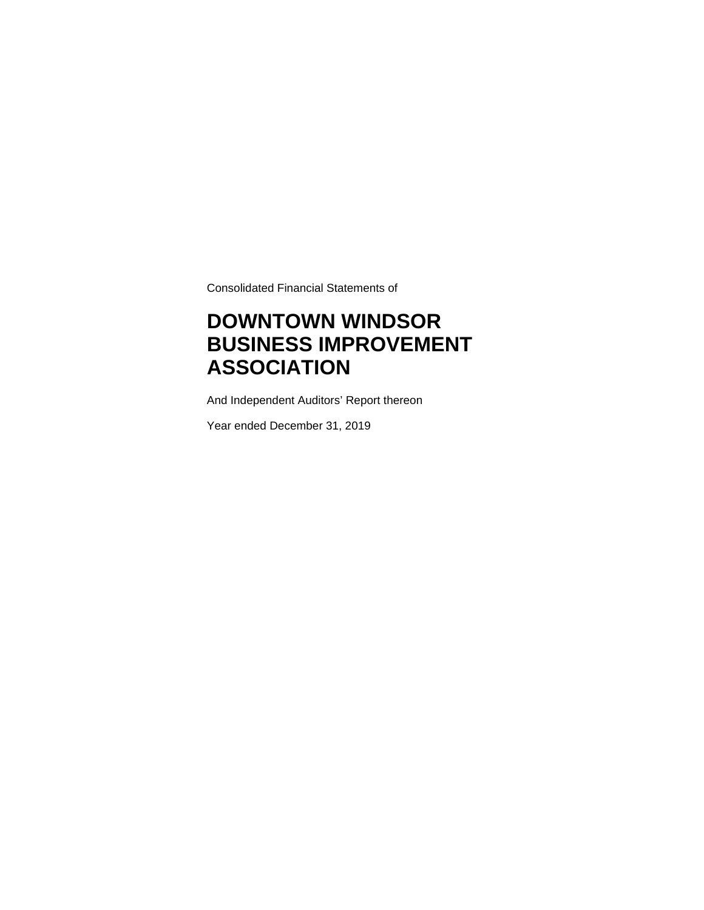Consolidated Financial Statements of

## **DOWNTOWN WINDSOR BUSINESS IMPROVEMENT ASSOCIATION**

And Independent Auditors' Report thereon

Year ended December 31, 2019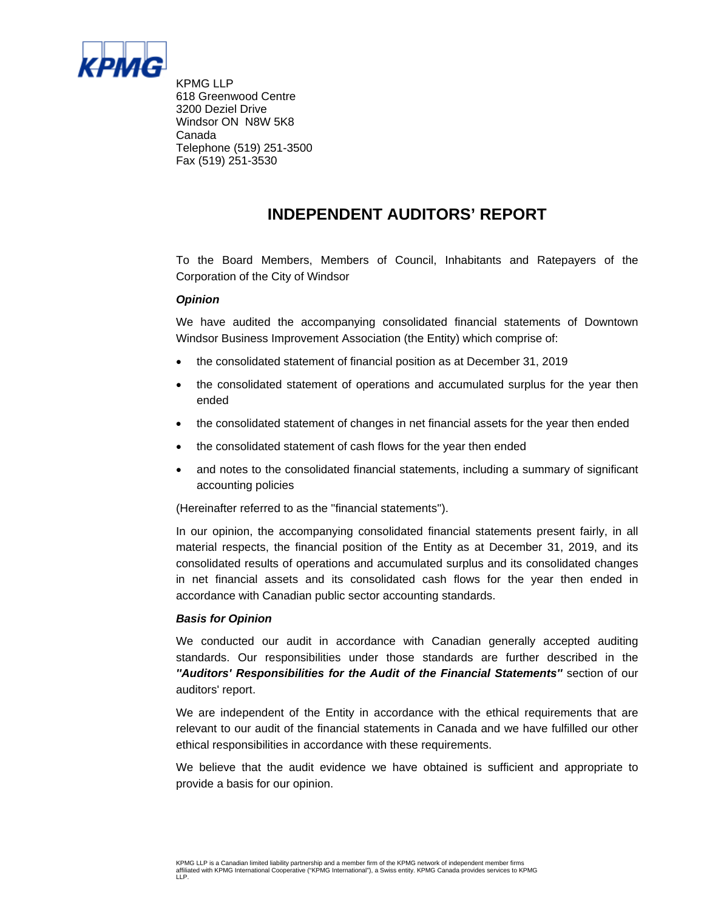

KPMG LLP 618 Greenwood Centre 3200 Deziel Drive Windsor ON N8W 5K8 Canada Telephone (519) 251-3500 Fax (519) 251-3530

### **INDEPENDENT AUDITORS' REPORT**

To the Board Members, Members of Council, Inhabitants and Ratepayers of the Corporation of the City of Windsor

#### *Opinion*

We have audited the accompanying consolidated financial statements of Downtown Windsor Business Improvement Association (the Entity) which comprise of:

- the consolidated statement of financial position as at December 31, 2019
- the consolidated statement of operations and accumulated surplus for the year then ended
- the consolidated statement of changes in net financial assets for the year then ended
- the consolidated statement of cash flows for the year then ended
- and notes to the consolidated financial statements, including a summary of significant accounting policies

(Hereinafter referred to as the ''financial statements'').

In our opinion, the accompanying consolidated financial statements present fairly, in all material respects, the financial position of the Entity as at December 31, 2019, and its consolidated results of operations and accumulated surplus and its consolidated changes in net financial assets and its consolidated cash flows for the year then ended in accordance with Canadian public sector accounting standards.

#### *Basis for Opinion*

We conducted our audit in accordance with Canadian generally accepted auditing standards. Our responsibilities under those standards are further described in the *''Auditors' Responsibilities for the Audit of the Financial Statements''* section of our auditors' report.

We are independent of the Entity in accordance with the ethical requirements that are relevant to our audit of the financial statements in Canada and we have fulfilled our other ethical responsibilities in accordance with these requirements.

We believe that the audit evidence we have obtained is sufficient and appropriate to provide a basis for our opinion.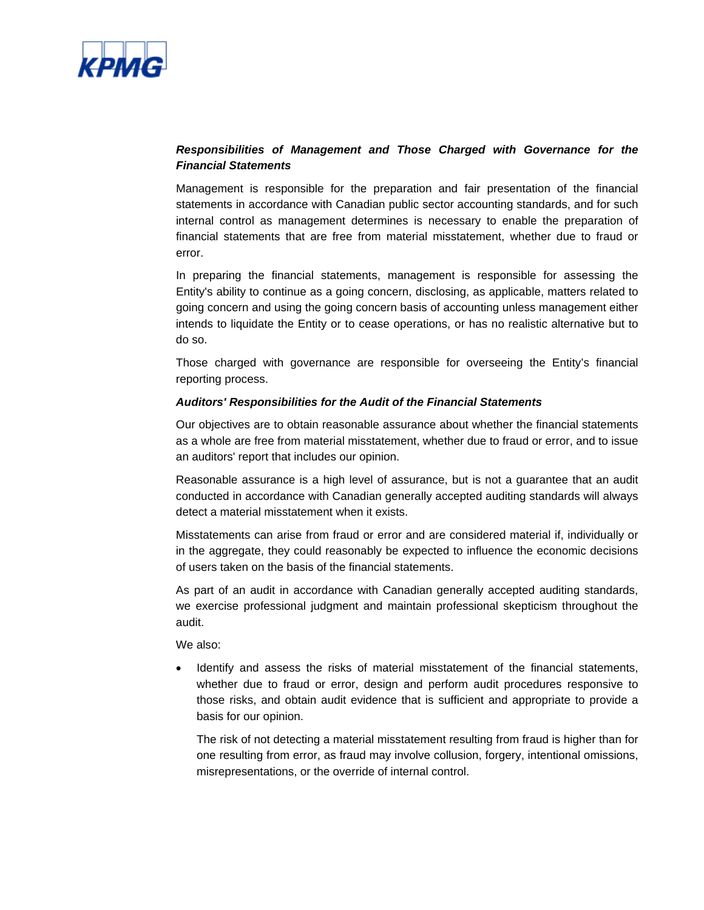

#### *Responsibilities of Management and Those Charged with Governance for the Financial Statements*

Management is responsible for the preparation and fair presentation of the financial statements in accordance with Canadian public sector accounting standards, and for such internal control as management determines is necessary to enable the preparation of financial statements that are free from material misstatement, whether due to fraud or error.

In preparing the financial statements, management is responsible for assessing the Entity's ability to continue as a going concern, disclosing, as applicable, matters related to going concern and using the going concern basis of accounting unless management either intends to liquidate the Entity or to cease operations, or has no realistic alternative but to do so.

Those charged with governance are responsible for overseeing the Entity's financial reporting process.

#### *Auditors' Responsibilities for the Audit of the Financial Statements*

Our objectives are to obtain reasonable assurance about whether the financial statements as a whole are free from material misstatement, whether due to fraud or error, and to issue an auditors' report that includes our opinion.

Reasonable assurance is a high level of assurance, but is not a guarantee that an audit conducted in accordance with Canadian generally accepted auditing standards will always detect a material misstatement when it exists.

Misstatements can arise from fraud or error and are considered material if, individually or in the aggregate, they could reasonably be expected to influence the economic decisions of users taken on the basis of the financial statements.

As part of an audit in accordance with Canadian generally accepted auditing standards, we exercise professional judgment and maintain professional skepticism throughout the audit.

We also:

 Identify and assess the risks of material misstatement of the financial statements, whether due to fraud or error, design and perform audit procedures responsive to those risks, and obtain audit evidence that is sufficient and appropriate to provide a basis for our opinion.

The risk of not detecting a material misstatement resulting from fraud is higher than for one resulting from error, as fraud may involve collusion, forgery, intentional omissions, misrepresentations, or the override of internal control.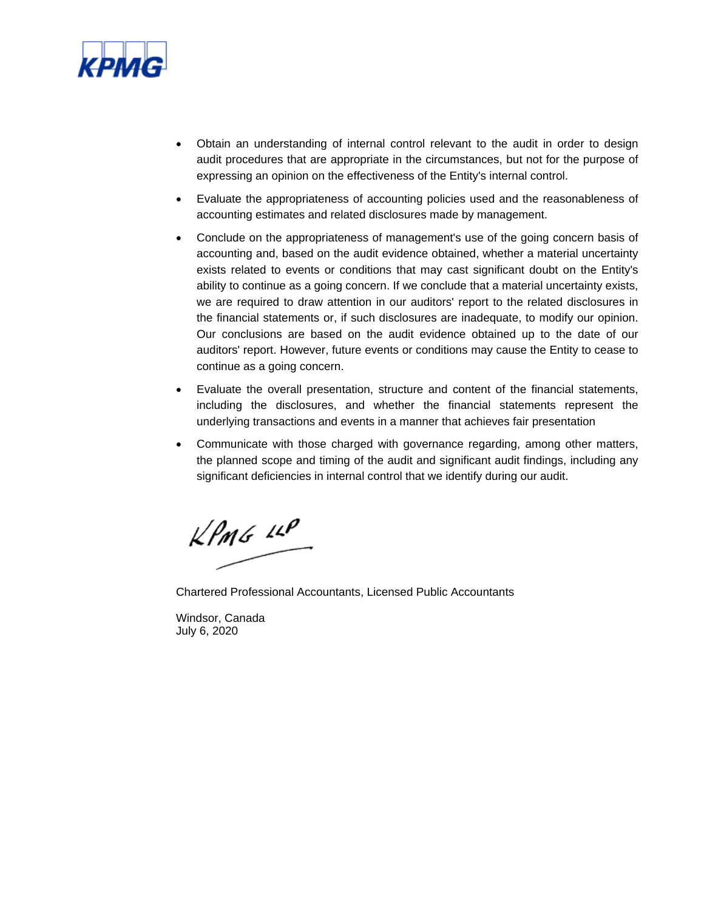

- Obtain an understanding of internal control relevant to the audit in order to design audit procedures that are appropriate in the circumstances, but not for the purpose of expressing an opinion on the effectiveness of the Entity's internal control.
- Evaluate the appropriateness of accounting policies used and the reasonableness of accounting estimates and related disclosures made by management.
- Conclude on the appropriateness of management's use of the going concern basis of accounting and, based on the audit evidence obtained, whether a material uncertainty exists related to events or conditions that may cast significant doubt on the Entity's ability to continue as a going concern. If we conclude that a material uncertainty exists, we are required to draw attention in our auditors' report to the related disclosures in the financial statements or, if such disclosures are inadequate, to modify our opinion. Our conclusions are based on the audit evidence obtained up to the date of our auditors' report. However, future events or conditions may cause the Entity to cease to continue as a going concern.
- Evaluate the overall presentation, structure and content of the financial statements, including the disclosures, and whether the financial statements represent the underlying transactions and events in a manner that achieves fair presentation
- Communicate with those charged with governance regarding, among other matters, the planned scope and timing of the audit and significant audit findings, including any significant deficiencies in internal control that we identify during our audit.

 $k$ PMG  $11$ 

Chartered Professional Accountants, Licensed Public Accountants

Windsor, Canada July 6, 2020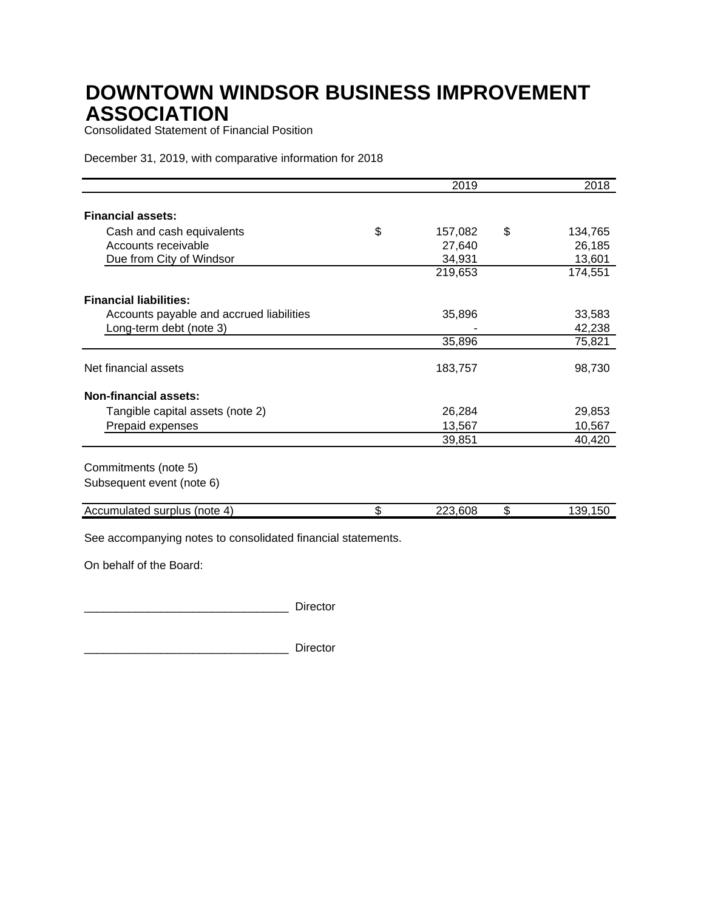Consolidated Statement of Financial Position

December 31, 2019, with comparative information for 2018

|                                          | $\overline{20}19$ | 2018          |
|------------------------------------------|-------------------|---------------|
|                                          |                   |               |
| <b>Financial assets:</b>                 |                   |               |
| Cash and cash equivalents                | \$<br>157,082     | \$<br>134,765 |
| Accounts receivable                      | 27,640            | 26,185        |
| Due from City of Windsor                 | 34,931            | 13,601        |
|                                          | 219,653           | 174,551       |
| <b>Financial liabilities:</b>            |                   |               |
| Accounts payable and accrued liabilities | 35,896            | 33,583        |
| Long-term debt (note 3)                  |                   | 42,238        |
|                                          | 35,896            | 75,821        |
| Net financial assets                     | 183,757           | 98,730        |
| <b>Non-financial assets:</b>             |                   |               |
| Tangible capital assets (note 2)         | 26,284            | 29,853        |
| Prepaid expenses                         | 13,567            | 10,567        |
|                                          | 39,851            | 40,420        |
| Commitments (note 5)                     |                   |               |
| Subsequent event (note 6)                |                   |               |
| Accumulated surplus (note 4)             | \$<br>223,608     | \$<br>139,150 |

See accompanying notes to consolidated financial statements.

On behalf of the Board:

\_\_\_\_\_\_\_\_\_\_\_\_\_\_\_\_\_\_\_\_\_\_\_\_\_\_\_\_\_\_\_\_ Director

\_\_\_\_\_\_\_\_\_\_\_\_\_\_\_\_\_\_\_\_\_\_\_\_\_\_\_\_\_\_\_\_ Director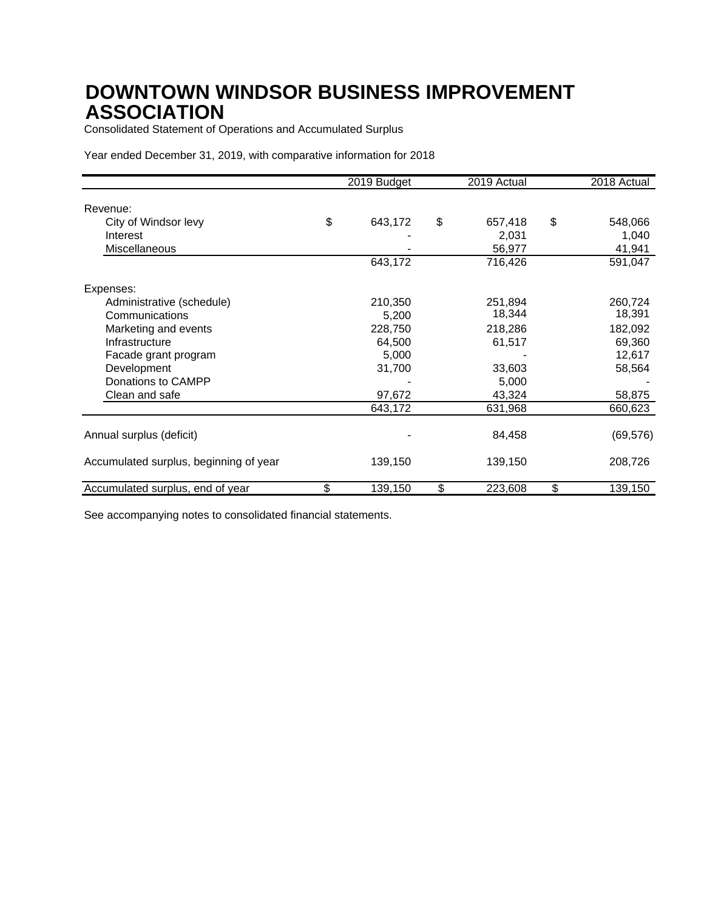Consolidated Statement of Operations and Accumulated Surplus

Year ended December 31, 2019, with comparative information for 2018

|                                        | 2019 Budget   | 2019 Actual   | 2018 Actual   |
|----------------------------------------|---------------|---------------|---------------|
| Revenue:                               |               |               |               |
| City of Windsor levy                   | \$<br>643,172 | \$<br>657,418 | \$<br>548,066 |
| Interest                               |               | 2,031         | 1,040         |
| Miscellaneous                          |               | 56,977        | 41,941        |
|                                        | 643,172       | 716,426       | 591,047       |
| Expenses:                              |               |               |               |
| Administrative (schedule)              | 210,350       | 251,894       | 260,724       |
| Communications                         | 5,200         | 18,344        | 18,391        |
| Marketing and events                   | 228,750       | 218,286       | 182,092       |
| Infrastructure                         | 64,500        | 61,517        | 69,360        |
| Facade grant program                   | 5,000         |               | 12,617        |
| Development                            | 31,700        | 33,603        | 58,564        |
| Donations to CAMPP                     |               | 5,000         |               |
| Clean and safe                         | 97,672        | 43,324        | 58,875        |
|                                        | 643,172       | 631,968       | 660,623       |
| Annual surplus (deficit)               |               | 84,458        | (69, 576)     |
| Accumulated surplus, beginning of year | 139,150       | 139,150       | 208,726       |
| Accumulated surplus, end of year       | \$<br>139,150 | \$<br>223,608 | \$<br>139,150 |

See accompanying notes to consolidated financial statements.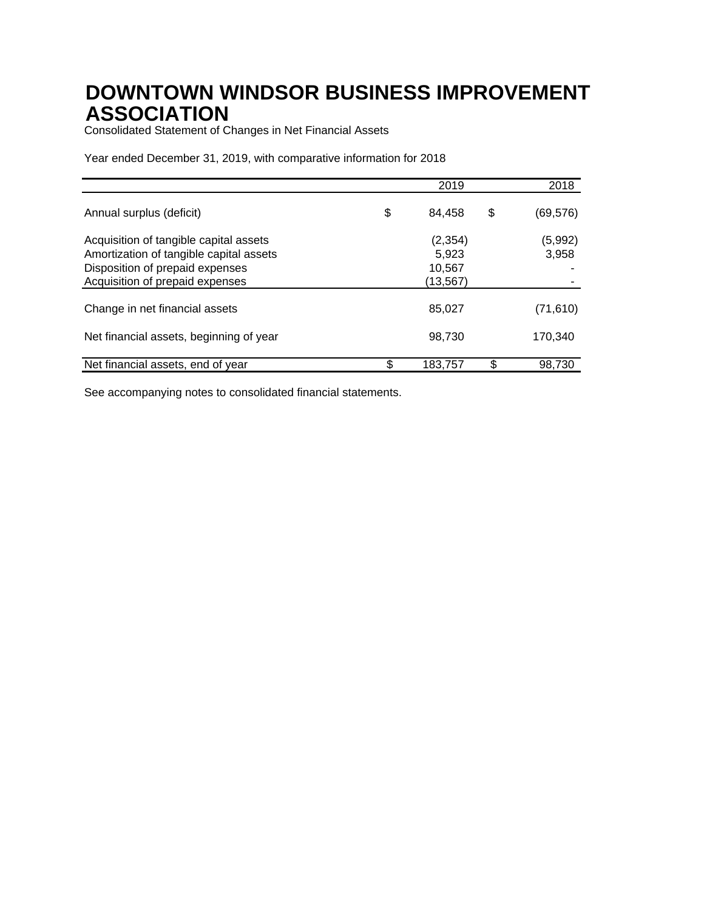Consolidated Statement of Changes in Net Financial Assets

Year ended December 31, 2019, with comparative information for 2018

|                                         | 2019         | 2018            |
|-----------------------------------------|--------------|-----------------|
| Annual surplus (deficit)                | \$<br>84,458 | \$<br>(69, 576) |
| Acquisition of tangible capital assets  | (2, 354)     | (5,992)         |
| Amortization of tangible capital assets | 5,923        | 3,958           |
| Disposition of prepaid expenses         | 10,567       |                 |
| Acquisition of prepaid expenses         | (13, 567)    |                 |
| Change in net financial assets          | 85,027       | (71, 610)       |
| Net financial assets, beginning of year | 98,730       | 170,340         |
| Net financial assets, end of year       | 183.757      | 98.730          |

See accompanying notes to consolidated financial statements.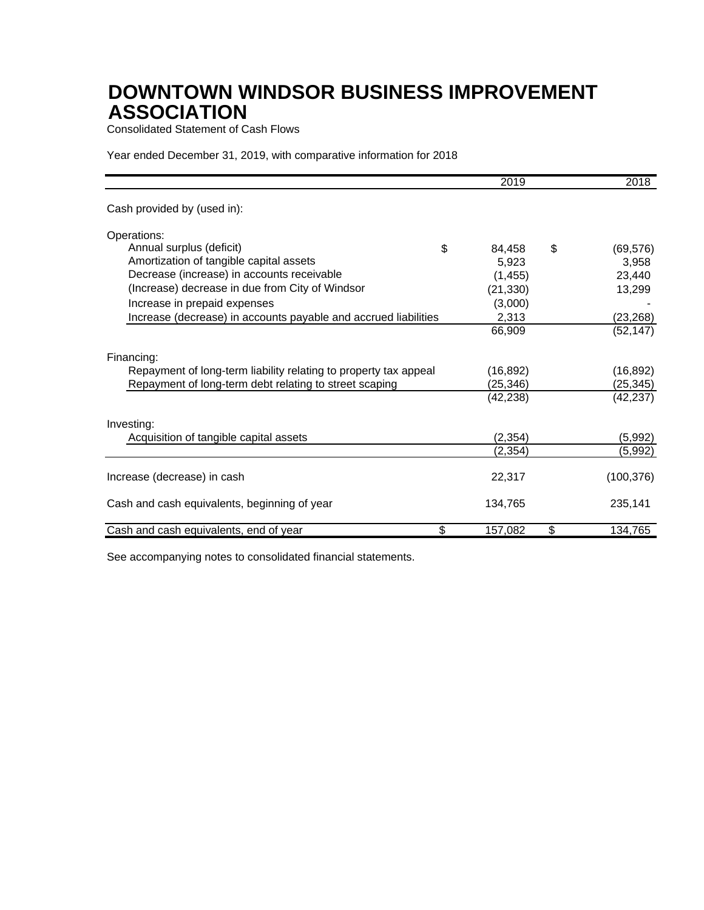Consolidated Statement of Cash Flows

Year ended December 31, 2019, with comparative information for 2018

|                                                                  | 2019      | 2018            |
|------------------------------------------------------------------|-----------|-----------------|
| Cash provided by (used in):                                      |           |                 |
| Operations:                                                      |           |                 |
| Annual surplus (deficit)<br>\$                                   | 84,458    | \$<br>(69, 576) |
| Amortization of tangible capital assets                          | 5,923     | 3,958           |
| Decrease (increase) in accounts receivable                       | (1, 455)  | 23,440          |
| (Increase) decrease in due from City of Windsor                  | (21, 330) | 13,299          |
| Increase in prepaid expenses                                     | (3,000)   |                 |
| Increase (decrease) in accounts payable and accrued liabilities  | 2,313     | (23, 268)       |
|                                                                  | 66,909    | (52, 147)       |
| Financing:                                                       |           |                 |
| Repayment of long-term liability relating to property tax appeal | (16, 892) | (16, 892)       |
| Repayment of long-term debt relating to street scaping           | (25, 346) | (25, 345)       |
|                                                                  | (42, 238) | (42, 237)       |
| Investing:                                                       |           |                 |
| Acquisition of tangible capital assets                           | (2, 354)  | (5,992)         |
|                                                                  | (2,354)   | (5,992)         |
| Increase (decrease) in cash                                      | 22,317    | (100, 376)      |
|                                                                  |           |                 |
| Cash and cash equivalents, beginning of year                     | 134,765   | 235,141         |
| \$<br>Cash and cash equivalents, end of year                     | 157,082   | \$<br>134,765   |

See accompanying notes to consolidated financial statements.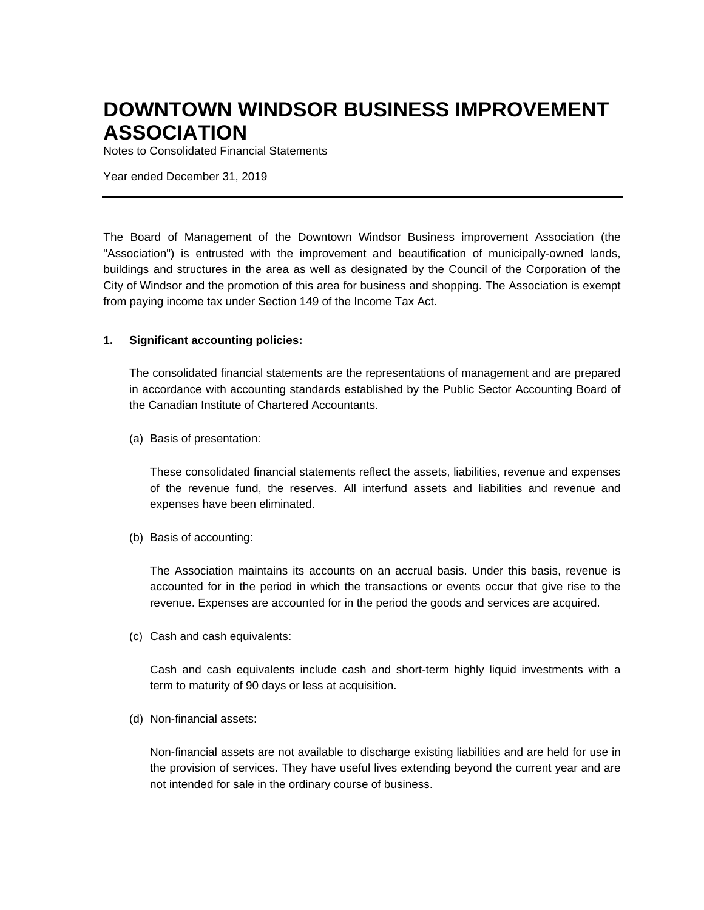Notes to Consolidated Financial Statements

Year ended December 31, 2019

The Board of Management of the Downtown Windsor Business improvement Association (the "Association") is entrusted with the improvement and beautification of municipally-owned lands, buildings and structures in the area as well as designated by the Council of the Corporation of the City of Windsor and the promotion of this area for business and shopping. The Association is exempt from paying income tax under Section 149 of the Income Tax Act.

#### **1. Significant accounting policies:**

The consolidated financial statements are the representations of management and are prepared in accordance with accounting standards established by the Public Sector Accounting Board of the Canadian Institute of Chartered Accountants.

(a) Basis of presentation:

These consolidated financial statements reflect the assets, liabilities, revenue and expenses of the revenue fund, the reserves. All interfund assets and liabilities and revenue and expenses have been eliminated.

(b) Basis of accounting:

The Association maintains its accounts on an accrual basis. Under this basis, revenue is accounted for in the period in which the transactions or events occur that give rise to the revenue. Expenses are accounted for in the period the goods and services are acquired.

(c) Cash and cash equivalents:

Cash and cash equivalents include cash and short-term highly liquid investments with a term to maturity of 90 days or less at acquisition.

(d) Non-financial assets:

Non-financial assets are not available to discharge existing liabilities and are held for use in the provision of services. They have useful lives extending beyond the current year and are not intended for sale in the ordinary course of business.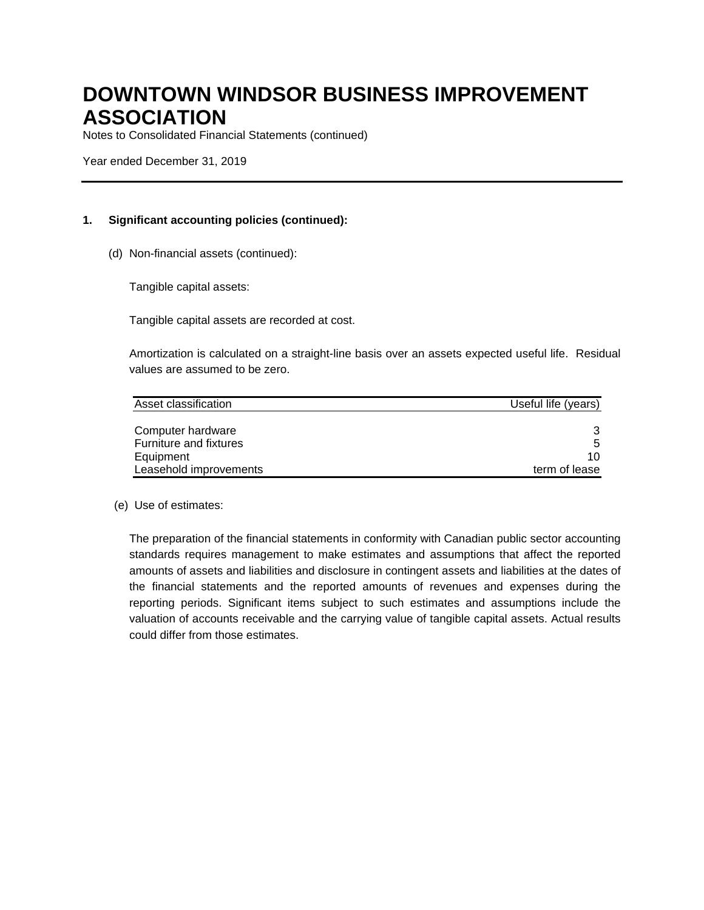Notes to Consolidated Financial Statements (continued)

Year ended December 31, 2019

#### **1. Significant accounting policies (continued):**

(d) Non-financial assets (continued):

Tangible capital assets:

Tangible capital assets are recorded at cost.

Amortization is calculated on a straight-line basis over an assets expected useful life. Residual values are assumed to be zero.

| Asset classification   | Useful life (years) |
|------------------------|---------------------|
|                        |                     |
| Computer hardware      |                     |
| Furniture and fixtures | 5                   |
| Equipment              | 10                  |
| Leasehold improvements | term of lease       |

#### (e) Use of estimates:

The preparation of the financial statements in conformity with Canadian public sector accounting standards requires management to make estimates and assumptions that affect the reported amounts of assets and liabilities and disclosure in contingent assets and liabilities at the dates of the financial statements and the reported amounts of revenues and expenses during the reporting periods. Significant items subject to such estimates and assumptions include the valuation of accounts receivable and the carrying value of tangible capital assets. Actual results could differ from those estimates.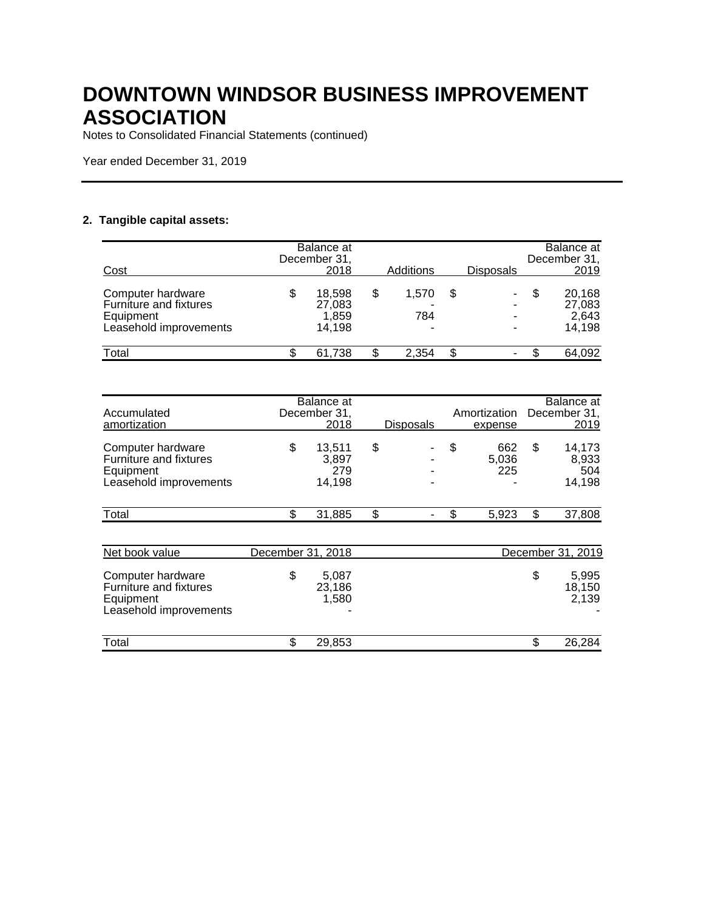Notes to Consolidated Financial Statements (continued)

Year ended December 31, 2019

#### **2. Tangible capital assets:**

| Cost                                                                               |    | Balance at<br>December 31<br>2018   | Additions               | <b>Disposals</b> |   | Balance at<br>December 31,<br>2019  |
|------------------------------------------------------------------------------------|----|-------------------------------------|-------------------------|------------------|---|-------------------------------------|
| Computer hardware<br>Furniture and fixtures<br>Equipment<br>Leasehold improvements | \$ | 18.598<br>27,083<br>1,859<br>14,198 | \$<br>1.570<br>784<br>- | \$<br>۰<br>-     | S | 20,168<br>27,083<br>2,643<br>14,198 |
| Total                                                                              | S  | 61.738                              | 2.354                   | \$<br>۰          |   | 64,092                              |

| Accumulated<br>amortization                                                               |                   | Balance at<br>December 31,<br>2018 | <b>Disposals</b> | Amortization<br>expense   | Balance at<br>December 31,<br>2019     |
|-------------------------------------------------------------------------------------------|-------------------|------------------------------------|------------------|---------------------------|----------------------------------------|
| Computer hardware<br><b>Furniture and fixtures</b><br>Equipment<br>Leasehold improvements | \$                | 13,511<br>3,897<br>279<br>14,198   | \$               | \$<br>662<br>5,036<br>225 | \$<br>14,173<br>8,933<br>504<br>14,198 |
| Total                                                                                     | \$                | 31,885                             | \$               | \$<br>5,923               | \$<br>37,808                           |
|                                                                                           |                   |                                    |                  |                           |                                        |
| Net book value                                                                            | December 31, 2018 |                                    |                  |                           | December 31, 2019                      |
| Computer hardware<br>Furniture and fixtures<br>Equipment<br>Leasehold improvements        | \$                | 5,087<br>23,186<br>1,580           |                  |                           | \$<br>5,995<br>18,150<br>2,139         |
| Total                                                                                     | \$                | 29,853                             |                  |                           | \$<br>26,284                           |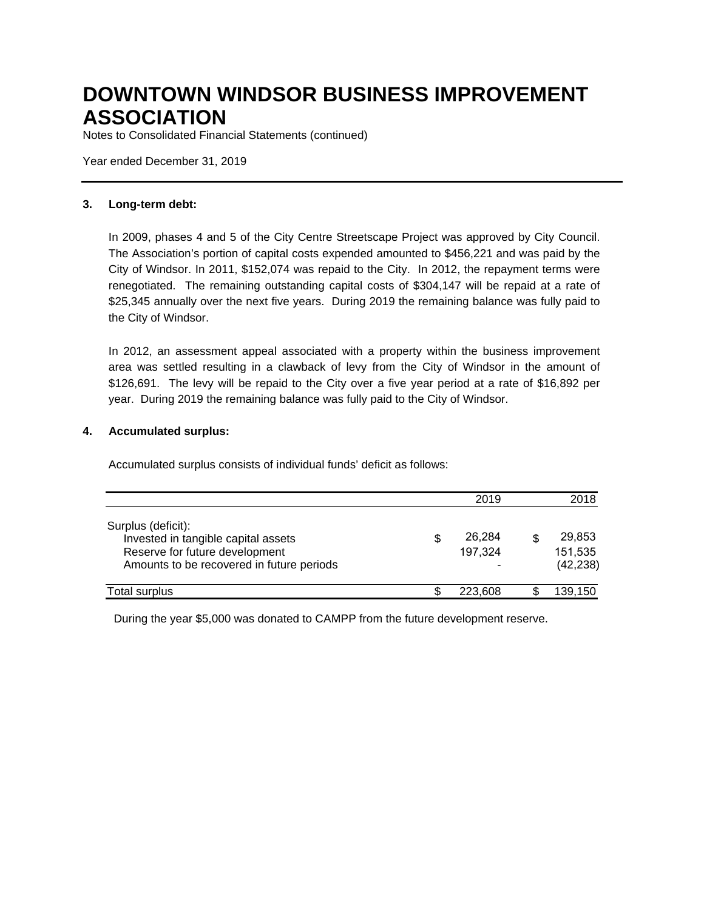Notes to Consolidated Financial Statements (continued)

Year ended December 31, 2019

#### **3. Long-term debt:**

In 2009, phases 4 and 5 of the City Centre Streetscape Project was approved by City Council. The Association's portion of capital costs expended amounted to \$456,221 and was paid by the City of Windsor. In 2011, \$152,074 was repaid to the City. In 2012, the repayment terms were renegotiated. The remaining outstanding capital costs of \$304,147 will be repaid at a rate of \$25,345 annually over the next five years. During 2019 the remaining balance was fully paid to the City of Windsor.

In 2012, an assessment appeal associated with a property within the business improvement area was settled resulting in a clawback of levy from the City of Windsor in the amount of \$126,691. The levy will be repaid to the City over a five year period at a rate of \$16,892 per year. During 2019 the remaining balance was fully paid to the City of Windsor.

#### **4. Accumulated surplus:**

Accumulated surplus consists of individual funds' deficit as follows:

|                                                                                                                                          | 2019                    | 2018                           |
|------------------------------------------------------------------------------------------------------------------------------------------|-------------------------|--------------------------------|
| Surplus (deficit):<br>Invested in tangible capital assets<br>Reserve for future development<br>Amounts to be recovered in future periods | \$<br>26,284<br>197,324 | 29,853<br>151,535<br>(42, 238) |
| Total surplus                                                                                                                            | 223,608                 | 139,150                        |

During the year \$5,000 was donated to CAMPP from the future development reserve.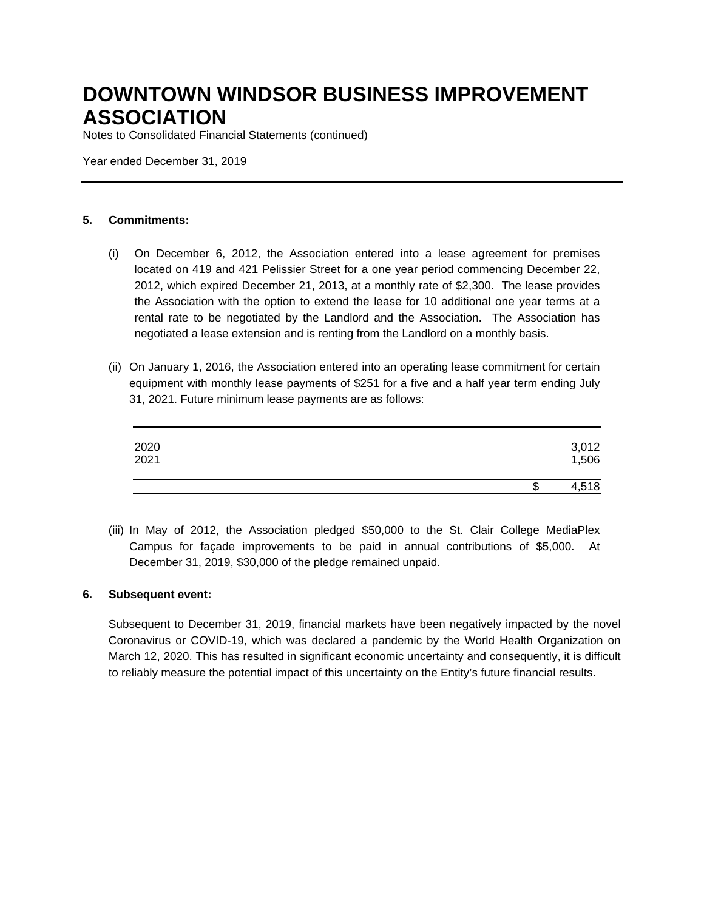Notes to Consolidated Financial Statements (continued)

Year ended December 31, 2019

#### **5. Commitments:**

- (i) On December 6, 2012, the Association entered into a lease agreement for premises located on 419 and 421 Pelissier Street for a one year period commencing December 22, 2012, which expired December 21, 2013, at a monthly rate of \$2,300. The lease provides the Association with the option to extend the lease for 10 additional one year terms at a rental rate to be negotiated by the Landlord and the Association. The Association has negotiated a lease extension and is renting from the Landlord on a monthly basis.
- (ii) On January 1, 2016, the Association entered into an operating lease commitment for certain equipment with monthly lease payments of \$251 for a five and a half year term ending July 31, 2021. Future minimum lease payments are as follows:

| 2020<br>2021 |    | 3,012<br>1,506 |
|--------------|----|----------------|
|              | ъD | 4,518          |

(iii) In May of 2012, the Association pledged \$50,000 to the St. Clair College MediaPlex Campus for façade improvements to be paid in annual contributions of \$5,000. At December 31, 2019, \$30,000 of the pledge remained unpaid.

#### **6. Subsequent event:**

Subsequent to December 31, 2019, financial markets have been negatively impacted by the novel Coronavirus or COVID-19, which was declared a pandemic by the World Health Organization on March 12, 2020. This has resulted in significant economic uncertainty and consequently, it is difficult to reliably measure the potential impact of this uncertainty on the Entity's future financial results.